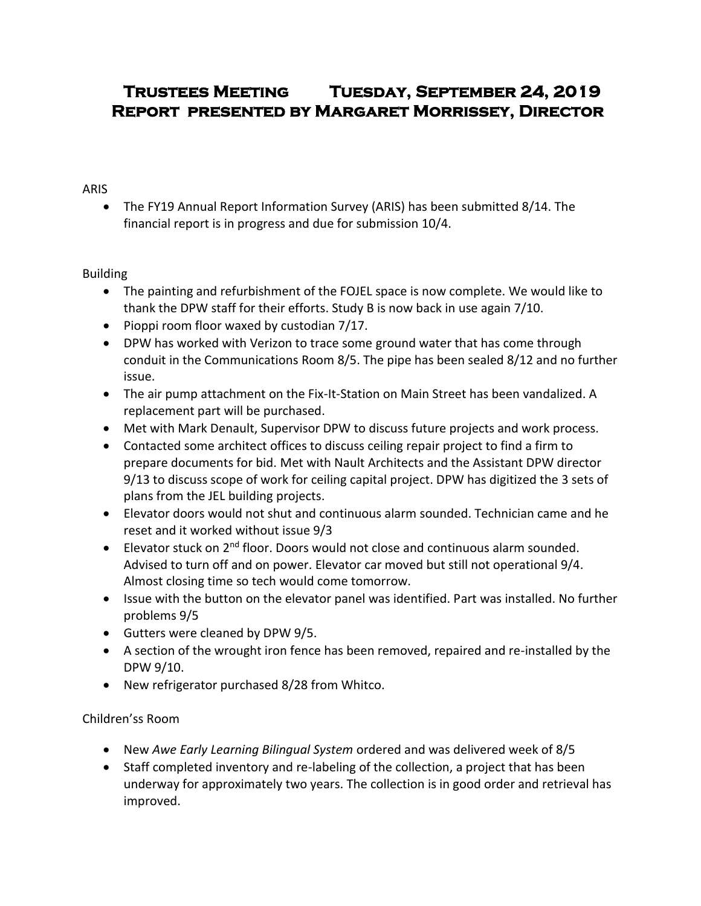# **Trustees Meeting Tuesday, September 24, 2019 Report presented by Margaret Morrissey, Director**

#### ARIS

 The FY19 Annual Report Information Survey (ARIS) has been submitted 8/14. The financial report is in progress and due for submission 10/4.

## Building

- The painting and refurbishment of the FOJEL space is now complete. We would like to thank the DPW staff for their efforts. Study B is now back in use again 7/10.
- Pioppi room floor waxed by custodian  $7/17$ .
- DPW has worked with Verizon to trace some ground water that has come through conduit in the Communications Room 8/5. The pipe has been sealed 8/12 and no further issue.
- The air pump attachment on the Fix-It-Station on Main Street has been vandalized. A replacement part will be purchased.
- Met with Mark Denault, Supervisor DPW to discuss future projects and work process.
- Contacted some architect offices to discuss ceiling repair project to find a firm to prepare documents for bid. Met with Nault Architects and the Assistant DPW director 9/13 to discuss scope of work for ceiling capital project. DPW has digitized the 3 sets of plans from the JEL building projects.
- Elevator doors would not shut and continuous alarm sounded. Technician came and he reset and it worked without issue 9/3
- Elevator stuck on 2<sup>nd</sup> floor. Doors would not close and continuous alarm sounded. Advised to turn off and on power. Elevator car moved but still not operational 9/4. Almost closing time so tech would come tomorrow.
- Issue with the button on the elevator panel was identified. Part was installed. No further problems 9/5
- Gutters were cleaned by DPW 9/5.
- A section of the wrought iron fence has been removed, repaired and re-installed by the DPW 9/10.
- New refrigerator purchased 8/28 from Whitco.

## Children'ss Room

- New *Awe Early Learning Bilingual System* ordered and was delivered week of 8/5
- Staff completed inventory and re-labeling of the collection, a project that has been underway for approximately two years. The collection is in good order and retrieval has improved.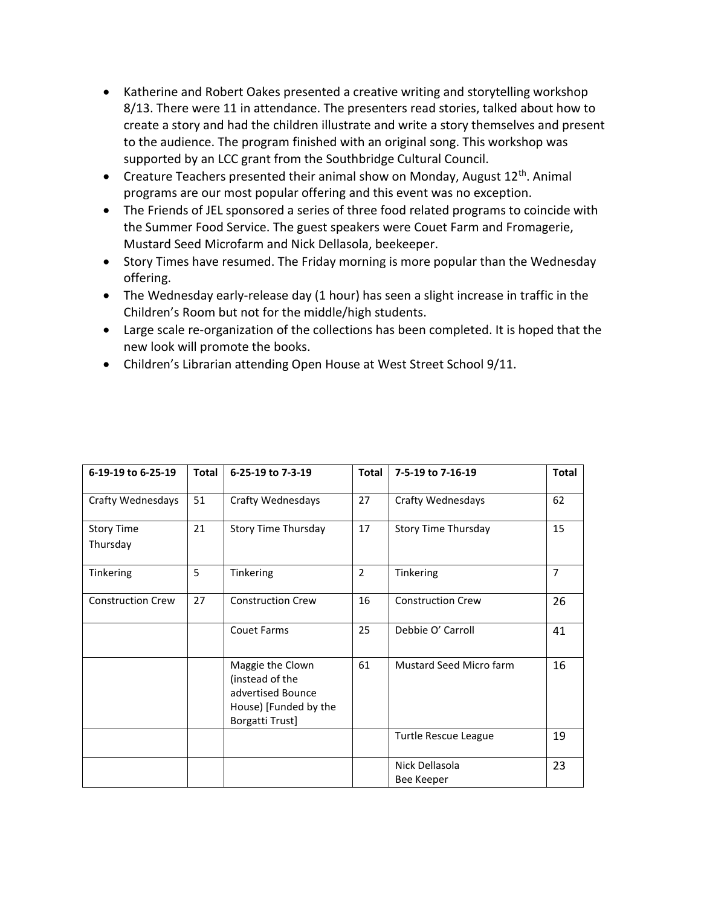- Katherine and Robert Oakes presented a creative writing and storytelling workshop 8/13. There were 11 in attendance. The presenters read stories, talked about how to create a story and had the children illustrate and write a story themselves and present to the audience. The program finished with an original song. This workshop was supported by an LCC grant from the Southbridge Cultural Council.
- Creature Teachers presented their animal show on Monday, August  $12<sup>th</sup>$ . Animal programs are our most popular offering and this event was no exception.
- The Friends of JEL sponsored a series of three food related programs to coincide with the Summer Food Service. The guest speakers were Couet Farm and Fromagerie, Mustard Seed Microfarm and Nick Dellasola, beekeeper.
- Story Times have resumed. The Friday morning is more popular than the Wednesday offering.
- The Wednesday early-release day (1 hour) has seen a slight increase in traffic in the Children's Room but not for the middle/high students.
- Large scale re-organization of the collections has been completed. It is hoped that the new look will promote the books.
- Children's Librarian attending Open House at West Street School 9/11.

| 6-19-19 to 6-25-19            | Total | 6-25-19 to 7-3-19                                                                                    | <b>Total</b> | 7-5-19 to 7-16-19            | <b>Total</b>   |
|-------------------------------|-------|------------------------------------------------------------------------------------------------------|--------------|------------------------------|----------------|
| Crafty Wednesdays             | 51    | <b>Crafty Wednesdays</b>                                                                             | 27           | <b>Crafty Wednesdays</b>     | 62             |
| <b>Story Time</b><br>Thursday | 21    | Story Time Thursday                                                                                  | 17           | Story Time Thursday          | 15             |
| Tinkering                     | 5     | Tinkering                                                                                            | 2            | Tinkering                    | $\overline{7}$ |
| <b>Construction Crew</b>      | 27    | <b>Construction Crew</b>                                                                             | 16           | <b>Construction Crew</b>     | 26             |
|                               |       | <b>Couet Farms</b>                                                                                   | 25           | Debbie O' Carroll            | 41             |
|                               |       | Maggie the Clown<br>(instead of the<br>advertised Bounce<br>House) [Funded by the<br>Borgatti Trust] | 61           | Mustard Seed Micro farm      | 16             |
|                               |       |                                                                                                      |              | Turtle Rescue League         | 19             |
|                               |       |                                                                                                      |              | Nick Dellasola<br>Bee Keeper | 23             |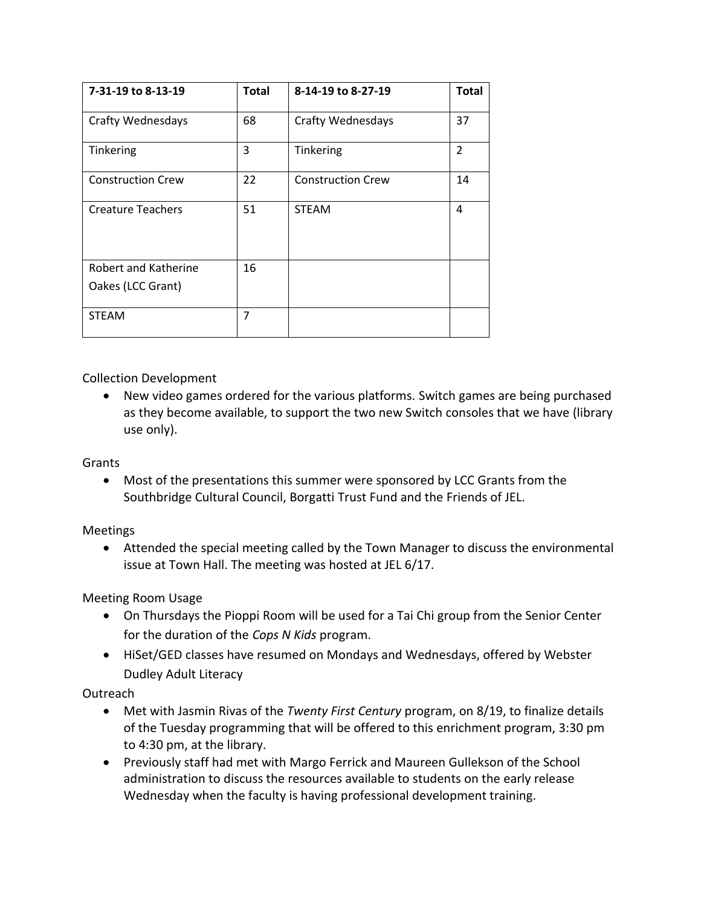| 7-31-19 to 8-13-19       | <b>Total</b> | 8-14-19 to 8-27-19       | <b>Total</b>   |
|--------------------------|--------------|--------------------------|----------------|
| Crafty Wednesdays        | 68           | <b>Crafty Wednesdays</b> | 37             |
| Tinkering                | 3            | Tinkering                | $\overline{2}$ |
| <b>Construction Crew</b> | 22           | <b>Construction Crew</b> | 14             |
| <b>Creature Teachers</b> | 51           | <b>STEAM</b>             | 4              |
| Robert and Katherine     | 16           |                          |                |
| Oakes (LCC Grant)        |              |                          |                |
| <b>STEAM</b>             | 7            |                          |                |

Collection Development

 New video games ordered for the various platforms. Switch games are being purchased as they become available, to support the two new Switch consoles that we have (library use only).

#### Grants

 Most of the presentations this summer were sponsored by LCC Grants from the Southbridge Cultural Council, Borgatti Trust Fund and the Friends of JEL.

## Meetings

 Attended the special meeting called by the Town Manager to discuss the environmental issue at Town Hall. The meeting was hosted at JEL 6/17.

Meeting Room Usage

- On Thursdays the Pioppi Room will be used for a Tai Chi group from the Senior Center for the duration of the *Cops N Kids* program.
- HiSet/GED classes have resumed on Mondays and Wednesdays, offered by Webster Dudley Adult Literacy

## Outreach

- Met with Jasmin Rivas of the *Twenty First Century* program, on 8/19, to finalize details of the Tuesday programming that will be offered to this enrichment program, 3:30 pm to 4:30 pm, at the library.
- Previously staff had met with Margo Ferrick and Maureen Gullekson of the School administration to discuss the resources available to students on the early release Wednesday when the faculty is having professional development training.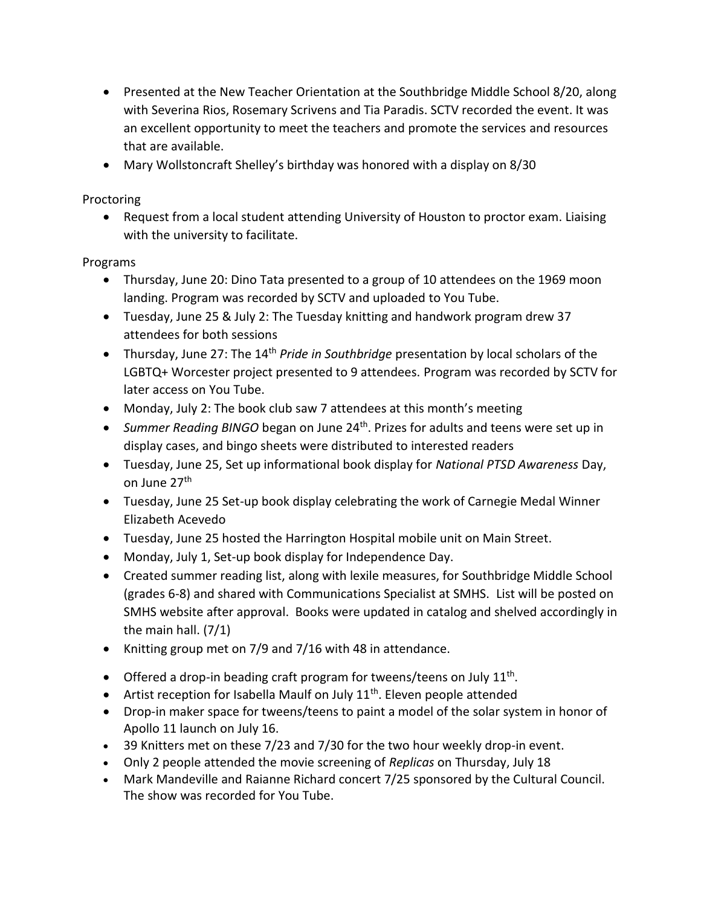- Presented at the New Teacher Orientation at the Southbridge Middle School 8/20, along with Severina Rios, Rosemary Scrivens and Tia Paradis. SCTV recorded the event. It was an excellent opportunity to meet the teachers and promote the services and resources that are available.
- Mary Wollstoncraft Shelley's birthday was honored with a display on 8/30

Proctoring

• Request from a local student attending University of Houston to proctor exam. Liaising with the university to facilitate.

Programs

- Thursday, June 20: Dino Tata presented to a group of 10 attendees on the 1969 moon landing. Program was recorded by SCTV and uploaded to You Tube.
- Tuesday, June 25 & July 2: The Tuesday knitting and handwork program drew 37 attendees for both sessions
- Thursday, June 27: The 14<sup>th</sup> *Pride in Southbridge* presentation by local scholars of the LGBTQ+ Worcester project presented to 9 attendees. Program was recorded by SCTV for later access on You Tube.
- Monday, July 2: The book club saw 7 attendees at this month's meeting
- Summer Reading BINGO began on June 24<sup>th</sup>. Prizes for adults and teens were set up in display cases, and bingo sheets were distributed to interested readers
- Tuesday, June 25, Set up informational book display for *National PTSD Awareness* Day, on June 27th
- Tuesday, June 25 Set-up book display celebrating the work of Carnegie Medal Winner Elizabeth Acevedo
- Tuesday, June 25 hosted the Harrington Hospital mobile unit on Main Street.
- Monday, July 1, Set-up book display for Independence Day.
- Created summer reading list, along with lexile measures, for Southbridge Middle School (grades 6-8) and shared with Communications Specialist at SMHS. List will be posted on SMHS website after approval. Books were updated in catalog and shelved accordingly in the main hall. (7/1)
- Knitting group met on 7/9 and 7/16 with 48 in attendance.
- Offered a drop-in beading craft program for tweens/teens on July  $11<sup>th</sup>$ .
- $\bullet$  Artist reception for Isabella Maulf on July 11<sup>th</sup>. Eleven people attended
- Drop-in maker space for tweens/teens to paint a model of the solar system in honor of Apollo 11 launch on July 16.
- 39 Knitters met on these 7/23 and 7/30 for the two hour weekly drop-in event.
- Only 2 people attended the movie screening of *Replicas* on Thursday, July 18
- Mark Mandeville and Raianne Richard concert 7/25 sponsored by the Cultural Council. The show was recorded for You Tube.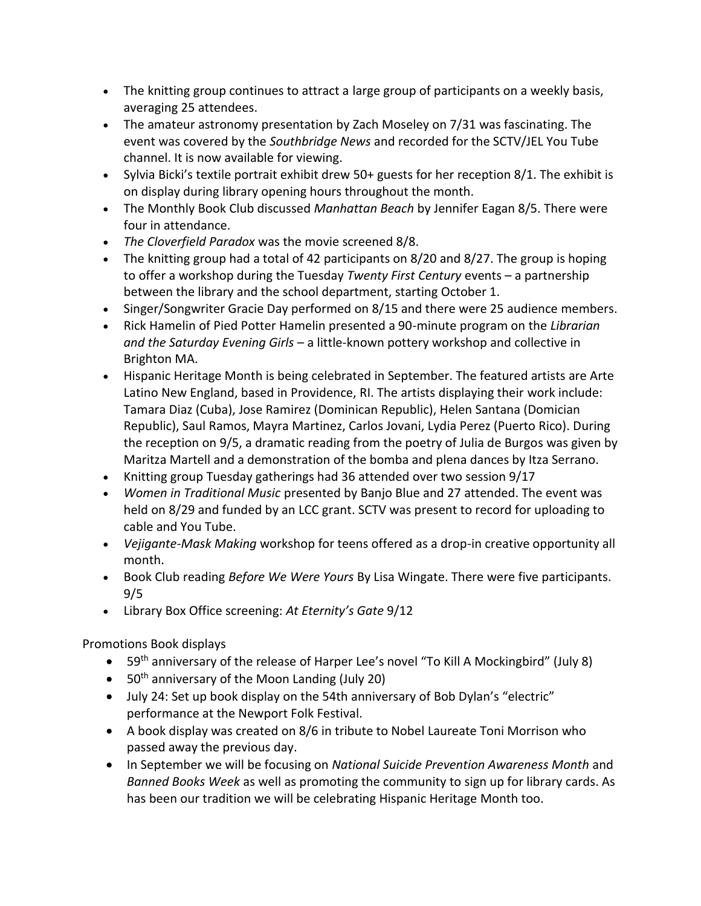- The knitting group continues to attract a large group of participants on a weekly basis, averaging 25 attendees.
- The amateur astronomy presentation by Zach Moseley on 7/31 was fascinating. The event was covered by the *Southbridge News* and recorded for the SCTV/JEL You Tube channel. It is now available for viewing.
- Sylvia Bicki's textile portrait exhibit drew  $50+$  guests for her reception  $8/1$ . The exhibit is on display during library opening hours throughout the month.
- The Monthly Book Club discussed *Manhattan Beach* by Jennifer Eagan 8/5. There were four in attendance.
- *The Cloverfield Paradox* was the movie screened 8/8.
- The knitting group had a total of 42 participants on 8/20 and 8/27. The group is hoping to offer a workshop during the Tuesday *Twenty First Century* events – a partnership between the library and the school department, starting October 1.
- Singer/Songwriter Gracie Day performed on 8/15 and there were 25 audience members.
- Rick Hamelin of Pied Potter Hamelin presented a 90-minute program on the *Librarian and the Saturday Evening Girls* – a little-known pottery workshop and collective in Brighton MA.
- Hispanic Heritage Month is being celebrated in September. The featured artists are Arte Latino New England, based in Providence, RI. The artists displaying their work include: Tamara Diaz (Cuba), Jose Ramirez (Dominican Republic), Helen Santana (Domician Republic), Saul Ramos, Mayra Martinez, Carlos Jovani, Lydia Perez (Puerto Rico). During the reception on 9/5, a dramatic reading from the poetry of Julia de Burgos was given by Maritza Martell and a demonstration of the bomba and plena dances by Itza Serrano.
- Knitting group Tuesday gatherings had 36 attended over two session 9/17
- *Women in Traditional Music* presented by Banjo Blue and 27 attended. The event was held on 8/29 and funded by an LCC grant. SCTV was present to record for uploading to cable and You Tube.
- *Vejigante-Mask Making* workshop for teens offered as a drop-in creative opportunity all month.
- Book Club reading *Before We Were Yours* By Lisa Wingate. There were five participants. 9/5
- Library Box Office screening: *At Eternity's Gate* 9/12

Promotions Book displays

- 59<sup>th</sup> anniversary of the release of Harper Lee's novel "To Kill A Mockingbird" (July 8)
- $\bullet$  50<sup>th</sup> anniversary of the Moon Landing (July 20)
- July 24: Set up book display on the 54th anniversary of Bob Dylan's "electric" performance at the Newport Folk Festival.
- A book display was created on 8/6 in tribute to Nobel Laureate Toni Morrison who passed away the previous day.
- In September we will be focusing on *National Suicide Prevention Awareness Month* and *Banned Books Week* as well as promoting the community to sign up for library cards. As has been our tradition we will be celebrating Hispanic Heritage Month too.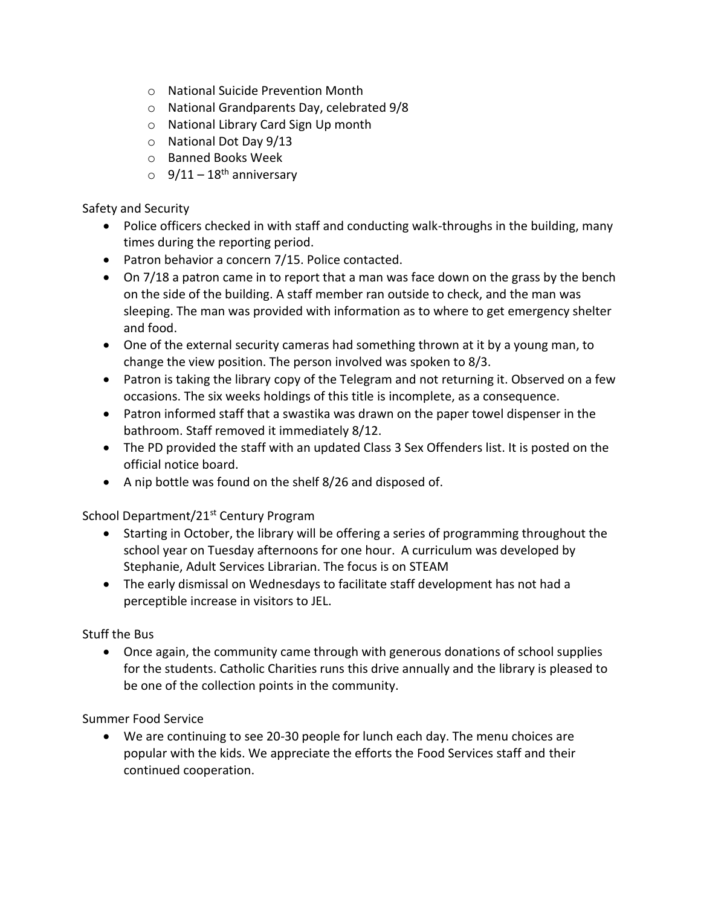- o National Suicide Prevention Month
- o National Grandparents Day, celebrated 9/8
- o National Library Card Sign Up month
- o National Dot Day 9/13
- o Banned Books Week
- $\degree$  9/11 18<sup>th</sup> anniversary

Safety and Security

- Police officers checked in with staff and conducting walk-throughs in the building, many times during the reporting period.
- Patron behavior a concern 7/15. Police contacted.
- On 7/18 a patron came in to report that a man was face down on the grass by the bench on the side of the building. A staff member ran outside to check, and the man was sleeping. The man was provided with information as to where to get emergency shelter and food.
- One of the external security cameras had something thrown at it by a young man, to change the view position. The person involved was spoken to 8/3.
- Patron is taking the library copy of the Telegram and not returning it. Observed on a few occasions. The six weeks holdings of this title is incomplete, as a consequence.
- Patron informed staff that a swastika was drawn on the paper towel dispenser in the bathroom. Staff removed it immediately 8/12.
- The PD provided the staff with an updated Class 3 Sex Offenders list. It is posted on the official notice board.
- A nip bottle was found on the shelf 8/26 and disposed of.

School Department/21<sup>st</sup> Century Program

- Starting in October, the library will be offering a series of programming throughout the school year on Tuesday afternoons for one hour. A curriculum was developed by Stephanie, Adult Services Librarian. The focus is on STEAM
- The early dismissal on Wednesdays to facilitate staff development has not had a perceptible increase in visitors to JEL.

Stuff the Bus

 Once again, the community came through with generous donations of school supplies for the students. Catholic Charities runs this drive annually and the library is pleased to be one of the collection points in the community.

Summer Food Service

 We are continuing to see 20-30 people for lunch each day. The menu choices are popular with the kids. We appreciate the efforts the Food Services staff and their continued cooperation.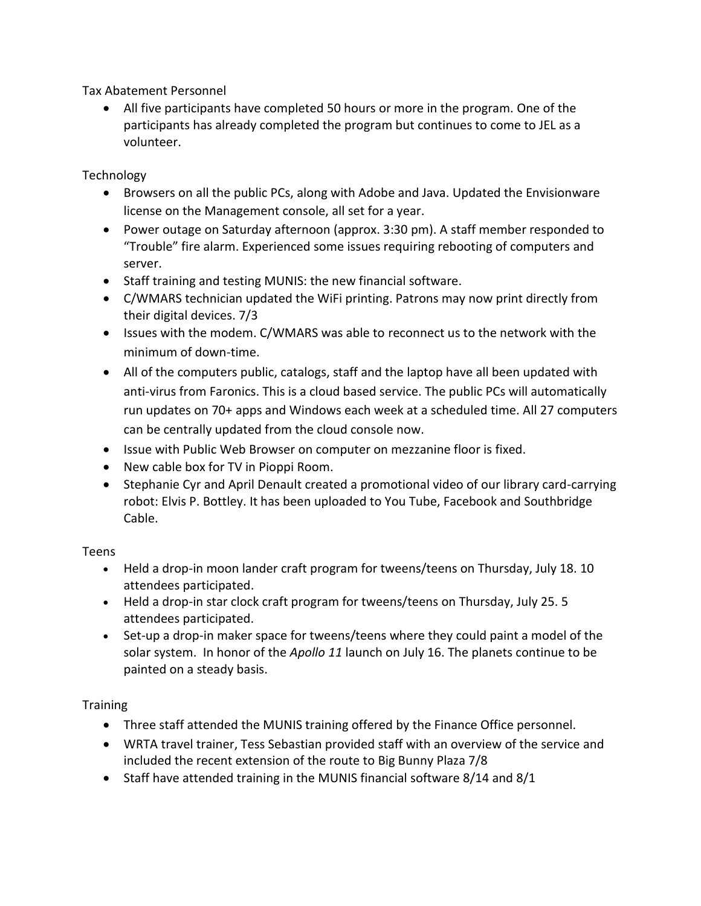Tax Abatement Personnel

 All five participants have completed 50 hours or more in the program. One of the participants has already completed the program but continues to come to JEL as a volunteer.

Technology

- Browsers on all the public PCs, along with Adobe and Java. Updated the Envisionware license on the Management console, all set for a year.
- Power outage on Saturday afternoon (approx. 3:30 pm). A staff member responded to "Trouble" fire alarm. Experienced some issues requiring rebooting of computers and server.
- Staff training and testing MUNIS: the new financial software.
- C/WMARS technician updated the WiFi printing. Patrons may now print directly from their digital devices. 7/3
- Issues with the modem. C/WMARS was able to reconnect us to the network with the minimum of down-time.
- All of the computers public, catalogs, staff and the laptop have all been updated with anti-virus from Faronics. This is a cloud based service. The public PCs will automatically run updates on 70+ apps and Windows each week at a scheduled time. All 27 computers can be centrally updated from the cloud console now.
- Issue with Public Web Browser on computer on mezzanine floor is fixed.
- New cable box for TV in Pioppi Room.
- Stephanie Cyr and April Denault created a promotional video of our library card-carrying robot: Elvis P. Bottley. It has been uploaded to You Tube, Facebook and Southbridge Cable.

Teens

- Held a drop-in moon lander craft program for tweens/teens on Thursday, July 18. 10 attendees participated.
- Held a drop-in star clock craft program for tweens/teens on Thursday, July 25. 5 attendees participated.
- Set-up a drop-in maker space for tweens/teens where they could paint a model of the solar system. In honor of the *Apollo 11* launch on July 16. The planets continue to be painted on a steady basis.

**Training** 

- Three staff attended the MUNIS training offered by the Finance Office personnel.
- WRTA travel trainer, Tess Sebastian provided staff with an overview of the service and included the recent extension of the route to Big Bunny Plaza 7/8
- Staff have attended training in the MUNIS financial software  $8/14$  and  $8/1$